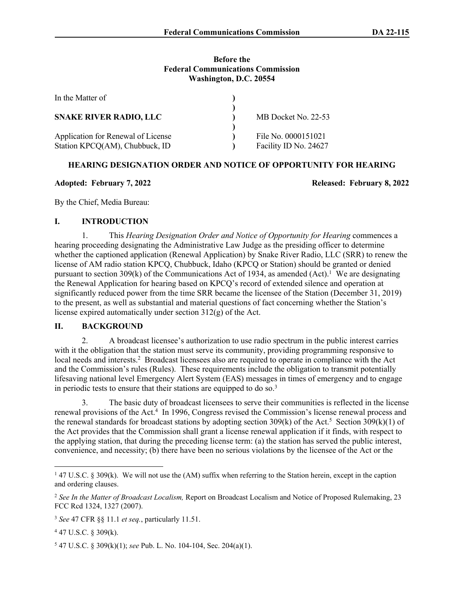#### **Before the Federal Communications Commission Washington, D.C. 20554**

| In the Matter of                                                     |                                              |
|----------------------------------------------------------------------|----------------------------------------------|
| <b>SNAKE RIVER RADIO, LLC</b>                                        | MB Docket No. 22-53                          |
| Application for Renewal of License<br>Station KPCQ(AM), Chubbuck, ID | File No. 0000151021<br>Facility ID No. 24627 |

# **HEARING DESIGNATION ORDER AND NOTICE OF OPPORTUNITY FOR HEARING**

#### **Adopted: February 7, 2022 Released: February 8, 2022**

By the Chief, Media Bureau:

# **I. INTRODUCTION**

1. This *Hearing Designation Order and Notice of Opportunity for Hearing* commences a hearing proceeding designating the Administrative Law Judge as the presiding officer to determine whether the captioned application (Renewal Application) by Snake River Radio, LLC (SRR) to renew the license of AM radio station KPCQ, Chubbuck, Idaho (KPCQ or Station) should be granted or denied pursuant to section  $309(k)$  of the Communications Act of 1934, as amended  $(Act)$ .<sup>1</sup> We are designating the Renewal Application for hearing based on KPCQ's record of extended silence and operation at significantly reduced power from the time SRR became the licensee of the Station (December 31, 2019) to the present, as well as substantial and material questions of fact concerning whether the Station's license expired automatically under section 312(g) of the Act.

## **II. BACKGROUND**

2. A broadcast licensee's authorization to use radio spectrum in the public interest carries with it the obligation that the station must serve its community, providing programming responsive to local needs and interests.<sup>2</sup> Broadcast licensees also are required to operate in compliance with the Act and the Commission's rules (Rules). These requirements include the obligation to transmit potentially lifesaving national level Emergency Alert System (EAS) messages in times of emergency and to engage in periodic tests to ensure that their stations are equipped to do so. $3$ 

3. The basic duty of broadcast licensees to serve their communities is reflected in the license renewal provisions of the Act.<sup>4</sup> In 1996, Congress revised the Commission's license renewal process and the renewal standards for broadcast stations by adopting section  $309(k)$  of the Act.<sup>5</sup> Section  $309(k)(1)$  of the Act provides that the Commission shall grant a license renewal application if it finds, with respect to the applying station, that during the preceding license term: (a) the station has served the public interest, convenience, and necessity; (b) there have been no serious violations by the licensee of the Act or the

4 47 U.S.C. § 309(k).

5 47 U.S.C. § 309(k)(1); *see* Pub. L. No. 104-104, Sec. 204(a)(1).

<sup>&</sup>lt;sup>1</sup> 47 U.S.C. § 309(k). We will not use the (AM) suffix when referring to the Station herein, except in the caption and ordering clauses.

<sup>2</sup> *See In the Matter of Broadcast Localism,* Report on Broadcast Localism and Notice of Proposed Rulemaking, 23 FCC Rcd 1324, 1327 (2007).

<sup>3</sup> *See* 47 CFR §§ 11.1 *et seq.*, particularly 11.51.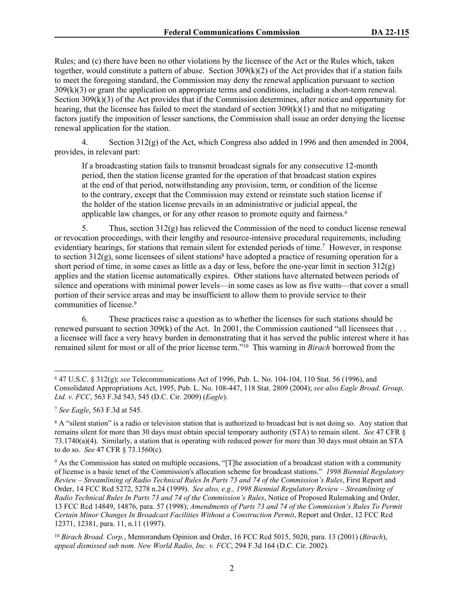Rules; and (c) there have been no other violations by the licensee of the Act or the Rules which, taken together, would constitute a pattern of abuse. Section  $309(k)(2)$  of the Act provides that if a station fails to meet the foregoing standard, the Commission may deny the renewal application pursuant to section 309(k)(3) or grant the application on appropriate terms and conditions, including a short-term renewal. Section 309(k)(3) of the Act provides that if the Commission determines, after notice and opportunity for hearing, that the licensee has failed to meet the standard of section  $309(k)(1)$  and that no mitigating factors justify the imposition of lesser sanctions, the Commission shall issue an order denying the license renewal application for the station.

4. Section 312(g) of the Act, which Congress also added in 1996 and then amended in 2004, provides, in relevant part:

If a broadcasting station fails to transmit broadcast signals for any consecutive 12-month period, then the station license granted for the operation of that broadcast station expires at the end of that period, notwithstanding any provision, term, or condition of the license to the contrary, except that the Commission may extend or reinstate such station license if the holder of the station license prevails in an administrative or judicial appeal, the applicable law changes, or for any other reason to promote equity and fairness.<sup>6</sup>

5. Thus, section  $312(g)$  has relieved the Commission of the need to conduct license renewal or revocation proceedings, with their lengthy and resource-intensive procedural requirements, including evidentiary hearings, for stations that remain silent for extended periods of time.<sup>7</sup> However, in response to section  $312(g)$ , some licensees of silent stations<sup>8</sup> have adopted a practice of resuming operation for a short period of time, in some cases as little as a day or less, before the one-year limit in section 312(g) applies and the station license automatically expires. Other stations have alternated between periods of silence and operations with minimal power levels—in some cases as low as five watts—that cover a small portion of their service areas and may be insufficient to allow them to provide service to their communities of license.<sup>9</sup>

6. These practices raise a question as to whether the licenses for such stations should be renewed pursuant to section 309(k) of the Act. In 2001, the Commission cautioned "all licensees that . . . a licensee will face a very heavy burden in demonstrating that it has served the public interest where it has remained silent for most or all of the prior license term."<sup>10</sup> This warning in *Birach* borrowed from the

<sup>6</sup> 47 U.S.C. § 312(g); *see* Telecommunications Act of 1996, Pub. L. No. 104-104, 110 Stat. 56 (1996), and Consolidated Appropriations Act, 1995, Pub. L. No. 108-447, 118 Stat. 2809 (2004); *see also Eagle Broad. Group, Ltd. v. FCC*, 563 F.3d 543, 545 (D.C. Cir. 2009) (*Eagle*).

<sup>7</sup> *See Eagle*, 563 F.3d at 545.

<sup>&</sup>lt;sup>8</sup> A "silent station" is a radio or television station that is authorized to broadcast but is not doing so. Any station that remains silent for more than 30 days must obtain special temporary authority (STA) to remain silent. *See* 47 CFR § 73.1740(a)(4). Similarly, a station that is operating with reduced power for more than 30 days must obtain an STA to do so. *See* 47 CFR § 73.1560(c).

<sup>&</sup>lt;sup>9</sup> As the Commission has stated on multiple occasions, "[T]he association of a broadcast station with a community of license is a basic tenet of the Commission's allocation scheme for broadcast stations." *1998 Biennial Regulatory Review – Streamlining of Radio Technical Rules In Parts 73 and 74 of the Commission's Rules*, First Report and Order, 14 FCC Rcd 5272, 5278 n.24 (1999). *See also, e.g., 1998 Biennial Regulatory Review – Streamlining of Radio Technical Rules In Parts 73 and 74 of the Commission's Rules*, Notice of Proposed Rulemaking and Order, 13 FCC Rcd 14849, 14876, para. 57 (1998); *Amendments of Parts 73 and 74 of the Commission's Rules To Permit Certain Minor Changes In Broadcast Facilities Without a Construction Permit*, Report and Order, 12 FCC Rcd 12371, 12381, para. 11, n.11 (1997).

<sup>10</sup> *Birach Broad. Corp.*, Memorandum Opinion and Order, 16 FCC Rcd 5015, 5020, para. 13 (2001) (*Birach*), *appeal dismissed sub nom. New World Radio, Inc. v. FCC*, 294 F.3d 164 (D.C. Cir. 2002).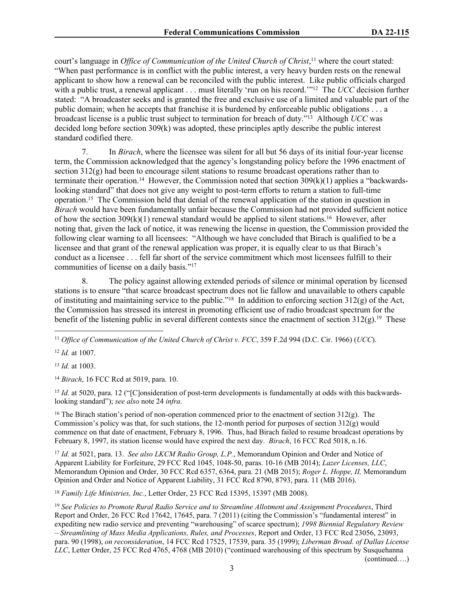court's language in *Office of Communication of the United Church of Christ*, <sup>11</sup> where the court stated: "When past performance is in conflict with the public interest, a very heavy burden rests on the renewal applicant to show how a renewal can be reconciled with the public interest. Like public officials charged with a public trust, a renewal applicant . . . must literally 'run on his record.'"<sup>12</sup> The *UCC* decision further stated: "A broadcaster seeks and is granted the free and exclusive use of a limited and valuable part of the public domain; when he accepts that franchise it is burdened by enforceable public obligations . . . a broadcast license is a public trust subject to termination for breach of duty."<sup>13</sup> Although *UCC* was decided long before section 309(k) was adopted, these principles aptly describe the public interest standard codified there.

7. In *Birach*, where the licensee was silent for all but 56 days of its initial four-year license term, the Commission acknowledged that the agency's longstanding policy before the 1996 enactment of section 312(g) had been to encourage silent stations to resume broadcast operations rather than to terminate their operation.<sup>14</sup> However, the Commission noted that section  $309(k)(1)$  applies a "backwardslooking standard" that does not give any weight to post-term efforts to return a station to full-time operation.<sup>15</sup> The Commission held that denial of the renewal application of the station in question in *Birach* would have been fundamentally unfair because the Commission had not provided sufficient notice of how the section  $309(k)(1)$  renewal standard would be applied to silent stations.<sup>16</sup> However, after noting that, given the lack of notice, it was renewing the license in question, the Commission provided the following clear warning to all licensees: "Although we have concluded that Birach is qualified to be a licensee and that grant of the renewal application was proper, it is equally clear to us that Birach's conduct as a licensee . . . fell far short of the service commitment which most licensees fulfill to their communities of license on a daily basis."<sup>17</sup>

8. The policy against allowing extended periods of silence or minimal operation by licensed stations is to ensure "that scarce broadcast spectrum does not lie fallow and unavailable to others capable of instituting and maintaining service to the public."<sup>18</sup> In addition to enforcing section 312(g) of the Act, the Commission has stressed its interest in promoting efficient use of radio broadcast spectrum for the benefit of the listening public in several different contexts since the enactment of section  $312(g)$ .<sup>19</sup> These

<sup>11</sup> *Office of Communication of the United Church of Christ v. FCC*, 359 F.2d 994 (D.C. Cir. 1966) (*UCC*).

<sup>12</sup> *Id.* at 1007.

<sup>13</sup> *Id.* at 1003.

<sup>14</sup> *Birach*, 16 FCC Rcd at 5019, para. 10.

<sup>15</sup> *Id.* at 5020, para. 12 ("[C]onsideration of post-term developments is fundamentally at odds with this backwardslooking standard"); *see also* note 24 *infra*.

<sup>16</sup> The Birach station's period of non-operation commenced prior to the enactment of section 312(g). The Commission's policy was that, for such stations, the 12-month period for purposes of section 312(g) would commence on that date of enactment, February 8, 1996. Thus, had Birach failed to resume broadcast operations by February 8, 1997, its station license would have expired the next day. *Birach*, 16 FCC Rcd 5018, n.16.

<sup>17</sup> *Id.* at 5021, para. 13. *See also LKCM Radio Group, L.P.*, Memorandum Opinion and Order and Notice of Apparent Liability for Forfeiture, 29 FCC Rcd 1045, 1048-50, paras. 10-16 (MB 2014); *Lazer Licenses, LLC*, Memorandum Opinion and Order, 30 FCC Rcd 6357, 6364, para. 21 (MB 2015); *Roger L. Hoppe, II,* Memorandum Opinion and Order and Notice of Apparent Liability, 31 FCC Rcd 8790, 8793, para. 11 (MB 2016).

<sup>18</sup> *Family Life Ministries, Inc.*, Letter Order, 23 FCC Rcd 15395, 15397 (MB 2008).

<sup>19</sup> *See Policies to Promote Rural Radio Service and to Streamline Allotment and Assignment Procedures*, Third Report and Order, 26 FCC Rcd 17642, 17645, para. 7 (2011) (citing the Commission's "fundamental interest" in expediting new radio service and preventing "warehousing" of scarce spectrum); *1998 Biennial Regulatory Review – Streamlining of Mass Media Applications, Rules, and Processes*, Report and Order, 13 FCC Rcd 23056, 23093, para. 90 (1998), *on reconsideration*, 14 FCC Rcd 17525, 17539, para. 35 (1999); *Liberman Broad. of Dallas License LLC*, Letter Order, 25 FCC Rcd 4765, 4768 (MB 2010) ("continued warehousing of this spectrum by Susquehanna (continued….)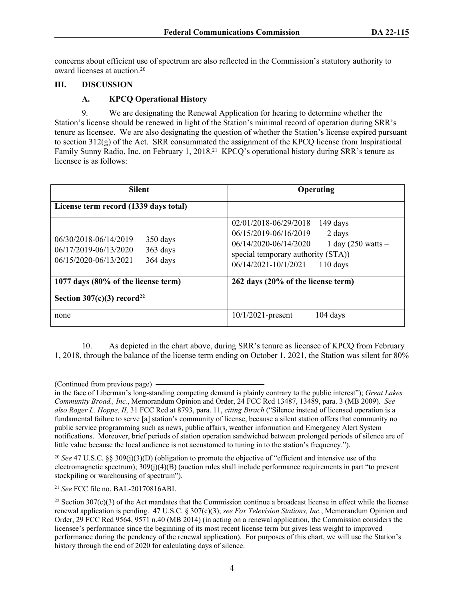concerns about efficient use of spectrum are also reflected in the Commission's statutory authority to award licenses at auction.<sup>20</sup>

# **III. DISCUSSION**

## **A. KPCQ Operational History**

9. We are designating the Renewal Application for hearing to determine whether the Station's license should be renewed in light of the Station's minimal record of operation during SRR's tenure as licensee. We are also designating the question of whether the Station's license expired pursuant to section 312(g) of the Act. SRR consummated the assignment of the KPCQ license from Inspirational Family Sunny Radio, Inc. on February 1, 2018.<sup>21</sup> KPCO's operational history during SRR's tenure as licensee is as follows:

| <b>Silent</b>                                                                                               | Operating                                                                                                                                                                                                 |  |
|-------------------------------------------------------------------------------------------------------------|-----------------------------------------------------------------------------------------------------------------------------------------------------------------------------------------------------------|--|
| License term record (1339 days total)                                                                       |                                                                                                                                                                                                           |  |
| 06/30/2018-06/14/2019<br>350 days<br>06/17/2019-06/13/2020<br>363 days<br>06/15/2020-06/13/2021<br>364 days | 02/01/2018-06/29/2018<br>149 days<br>06/15/2019-06/16/2019<br>2 days<br>06/14/2020-06/14/2020<br>1 day $(250 \text{ watts} -$<br>special temporary authority (STA))<br>06/14/2021-10/1/2021<br>$110$ days |  |
| 1077 days (80% of the license term)                                                                         | 262 days (20% of the license term)                                                                                                                                                                        |  |
| Section $307(c)(3)$ record <sup>22</sup>                                                                    |                                                                                                                                                                                                           |  |
| none                                                                                                        | 10/1/2021-present<br>$104$ days                                                                                                                                                                           |  |

10. As depicted in the chart above, during SRR's tenure as licensee of KPCQ from February 1, 2018, through the balance of the license term ending on October 1, 2021, the Station was silent for 80%

<sup>20</sup> *See* 47 U.S.C. §§ 309(j)(3)(D) (obligation to promote the objective of "efficient and intensive use of the electromagnetic spectrum); 309(j)(4)(B) (auction rules shall include performance requirements in part "to prevent stockpiling or warehousing of spectrum").

<sup>21</sup> *See* FCC file no. BAL-20170816ABI.

<sup>(</sup>Continued from previous page)

in the face of Liberman's long-standing competing demand is plainly contrary to the public interest"); *Great Lakes Community Broad., Inc.*, Memorandum Opinion and Order, 24 FCC Rcd 13487, 13489, para. 3 (MB 2009). *See also Roger L. Hoppe, II,* 31 FCC Rcd at 8793, para. 11, *citing Birach* ("Silence instead of licensed operation is a fundamental failure to serve [a] station's community of license, because a silent station offers that community no public service programming such as news, public affairs, weather information and Emergency Alert System notifications. Moreover, brief periods of station operation sandwiched between prolonged periods of silence are of little value because the local audience is not accustomed to tuning in to the station's frequency.").

 $22$  Section 307(c)(3) of the Act mandates that the Commission continue a broadcast license in effect while the license renewal application is pending. 47 U.S.C. § 307(c)(3); *see Fox Television Stations, Inc.*, Memorandum Opinion and Order, 29 FCC Rcd 9564, 9571 n.40 (MB 2014) (in acting on a renewal application, the Commission considers the licensee's performance since the beginning of its most recent license term but gives less weight to improved performance during the pendency of the renewal application). For purposes of this chart, we will use the Station's history through the end of 2020 for calculating days of silence.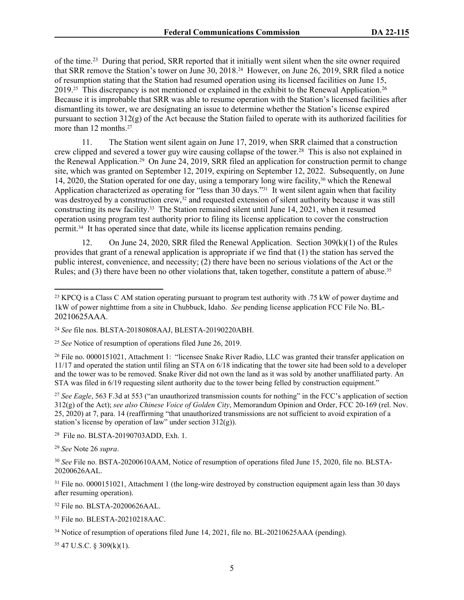of the time.<sup>23</sup> During that period, SRR reported that it initially went silent when the site owner required that SRR remove the Station's tower on June 30, 2018.24 However, on June 26, 2019, SRR filed a notice of resumption stating that the Station had resumed operation using its licensed facilities on June 15, 2019.<sup>25</sup> This discrepancy is not mentioned or explained in the exhibit to the Renewal Application.<sup>26</sup> Because it is improbable that SRR was able to resume operation with the Station's licensed facilities after dismantling its tower, we are designating an issue to determine whether the Station's license expired pursuant to section 312(g) of the Act because the Station failed to operate with its authorized facilities for more than 12 months.<sup>27</sup>

11. The Station went silent again on June 17, 2019, when SRR claimed that a construction crew clipped and severed a tower guy wire causing collapse of the tower.<sup>28</sup> This is also not explained in the Renewal Application.29 On June 24, 2019, SRR filed an application for construction permit to change site, which was granted on September 12, 2019, expiring on September 12, 2022. Subsequently, on June 14, 2020, the Station operated for one day, using a temporary long wire facility,30 which the Renewal Application characterized as operating for "less than 30 days."<sup>31</sup> It went silent again when that facility was destroyed by a construction crew,<sup>32</sup> and requested extension of silent authority because it was still constructing its new facility.33 The Station remained silent until June 14, 2021, when it resumed operation using program test authority prior to filing its license application to cover the construction permit.34 It has operated since that date, while its license application remains pending.

12. On June 24, 2020, SRR filed the Renewal Application. Section 309(k)(1) of the Rules provides that grant of a renewal application is appropriate if we find that (1) the station has served the public interest, convenience, and necessity; (2) there have been no serious violations of the Act or the Rules; and (3) there have been no other violations that, taken together, constitute a pattern of abuse.<sup>35</sup>

<sup>27</sup> See Eagle, 563 F.3d at 553 ("an unauthorized transmission counts for nothing" in the FCC's application of section 312(g) of the Act); *see also Chinese Voice of Golden City*, Memorandum Opinion and Order, FCC 20-169 (rel. Nov. 25, 2020) at 7, para. 14 (reaffirming "that unauthorized transmissions are not sufficient to avoid expiration of a station's license by operation of law" under section 312(g)).

<sup>28</sup> File no. BLSTA-20190703ADD, Exh. 1.

<sup>29</sup> *See* Note 26 *supra*.

35 47 U.S.C. § 309(k)(1).

<sup>&</sup>lt;sup>23</sup> KPCQ is a Class C AM station operating pursuant to program test authority with .75 kW of power daytime and 1kW of power nighttime from a site in Chubbuck, Idaho. *See* pending license application FCC File No. BL-20210625AAA.

<sup>24</sup> *See* file nos. BLSTA-20180808AAJ, BLESTA-20190220ABH.

<sup>25</sup> *See* Notice of resumption of operations filed June 26, 2019.

<sup>&</sup>lt;sup>26</sup> File no. 0000151021, Attachment 1: "licensee Snake River Radio, LLC was granted their transfer application on 11/17 and operated the station until filing an STA on 6/18 indicating that the tower site had been sold to a developer and the tower was to be removed. Snake River did not own the land as it was sold by another unaffiliated party. An STA was filed in 6/19 requesting silent authority due to the tower being felled by construction equipment."

<sup>30</sup> *See* File no. BSTA-20200610AAM, Notice of resumption of operations filed June 15, 2020, file no. BLSTA-20200626AAL.

<sup>&</sup>lt;sup>31</sup> File no. 0000151021, Attachment 1 (the long-wire destroyed by construction equipment again less than 30 days after resuming operation).

<sup>32</sup> File no. BLSTA-20200626AAL.

<sup>33</sup> File no. BLESTA-20210218AAC.

<sup>&</sup>lt;sup>34</sup> Notice of resumption of operations filed June 14, 2021, file no. BL-20210625AAA (pending).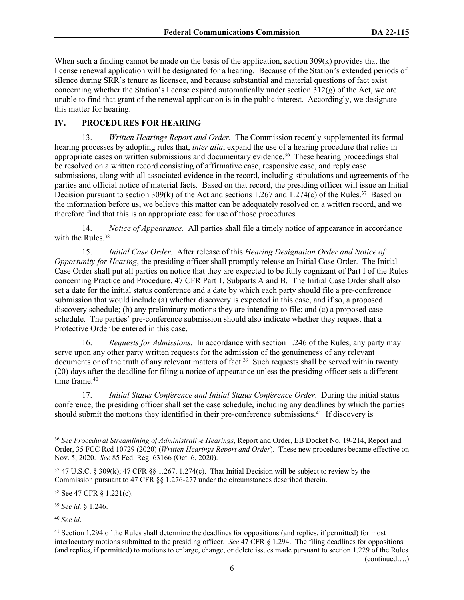When such a finding cannot be made on the basis of the application, section 309(k) provides that the license renewal application will be designated for a hearing. Because of the Station's extended periods of silence during SRR's tenure as licensee, and because substantial and material questions of fact exist concerning whether the Station's license expired automatically under section  $312(g)$  of the Act, we are unable to find that grant of the renewal application is in the public interest. Accordingly, we designate this matter for hearing.

# **IV. PROCEDURES FOR HEARING**

13. *Written Hearings Report and Order.* The Commission recently supplemented its formal hearing processes by adopting rules that, *inter alia*, expand the use of a hearing procedure that relies in appropriate cases on written submissions and documentary evidence.<sup>36</sup> These hearing proceedings shall be resolved on a written record consisting of affirmative case, responsive case, and reply case submissions, along with all associated evidence in the record, including stipulations and agreements of the parties and official notice of material facts. Based on that record, the presiding officer will issue an Initial Decision pursuant to section 309(k) of the Act and sections 1.267 and 1.274(c) of the Rules.<sup>37</sup> Based on the information before us, we believe this matter can be adequately resolved on a written record, and we therefore find that this is an appropriate case for use of those procedures.

14. *Notice of Appearance.* All parties shall file a timely notice of appearance in accordance with the Rules.<sup>38</sup>

15. *Initial Case Order*. After release of this *Hearing Designation Order and Notice of Opportunity for Hearing*, the presiding officer shall promptly release an Initial Case Order. The Initial Case Order shall put all parties on notice that they are expected to be fully cognizant of Part I of the Rules concerning Practice and Procedure, 47 CFR Part 1, Subparts A and B. The Initial Case Order shall also set a date for the initial status conference and a date by which each party should file a pre-conference submission that would include (a) whether discovery is expected in this case, and if so, a proposed discovery schedule; (b) any preliminary motions they are intending to file; and (c) a proposed case schedule. The parties' pre-conference submission should also indicate whether they request that a Protective Order be entered in this case.

16. *Requests for Admissions*. In accordance with section 1.246 of the Rules, any party may serve upon any other party written requests for the admission of the genuineness of any relevant documents or of the truth of any relevant matters of fact.<sup>39</sup> Such requests shall be served within twenty (20) days after the deadline for filing a notice of appearance unless the presiding officer sets a different time frame 40

17. *Initial Status Conference and Initial Status Conference Order*. During the initial status conference, the presiding officer shall set the case schedule, including any deadlines by which the parties should submit the motions they identified in their pre-conference submissions.<sup>41</sup> If discovery is

<sup>38</sup> See 47 CFR § 1.221(c).

<sup>39</sup> *See id.* § 1.246.

<sup>40</sup> *See id*.

<sup>36</sup> *See Procedural Streamlining of Administrative Hearings*, Report and Order, EB Docket No. 19-214, Report and Order, 35 FCC Rcd 10729 (2020) (*Written Hearings Report and Order*). These new procedures became effective on Nov. 5, 2020. *See* 85 Fed. Reg. 63166 (Oct. 6, 2020).

<sup>37</sup> 47 U.S.C. § 309(k); 47 CFR §§ 1.267, 1.274(c). That Initial Decision will be subject to review by the Commission pursuant to 47 CFR §§ 1.276-277 under the circumstances described therein.

<sup>&</sup>lt;sup>41</sup> Section 1.294 of the Rules shall determine the deadlines for oppositions (and replies, if permitted) for most interlocutory motions submitted to the presiding officer. *See* 47 CFR § 1.294. The filing deadlines for oppositions (and replies, if permitted) to motions to enlarge, change, or delete issues made pursuant to section 1.229 of the Rules (continued….)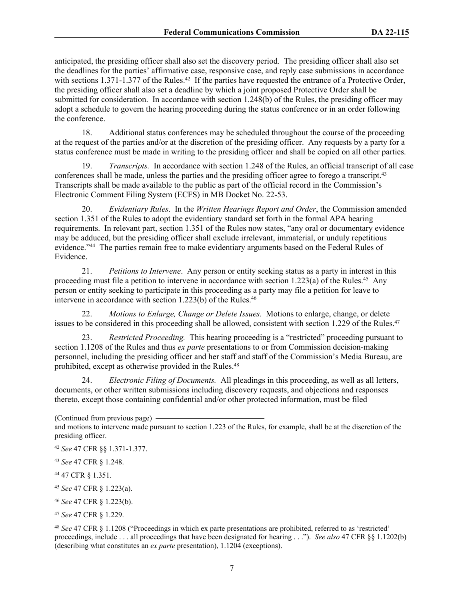anticipated, the presiding officer shall also set the discovery period. The presiding officer shall also set the deadlines for the parties' affirmative case, responsive case, and reply case submissions in accordance with sections 1.371-1.377 of the Rules.<sup>42</sup> If the parties have requested the entrance of a Protective Order, the presiding officer shall also set a deadline by which a joint proposed Protective Order shall be submitted for consideration. In accordance with section 1.248(b) of the Rules, the presiding officer may adopt a schedule to govern the hearing proceeding during the status conference or in an order following the conference.

18. Additional status conferences may be scheduled throughout the course of the proceeding at the request of the parties and/or at the discretion of the presiding officer. Any requests by a party for a status conference must be made in writing to the presiding officer and shall be copied on all other parties.

19. *Transcripts.* In accordance with section 1.248 of the Rules, an official transcript of all case conferences shall be made, unless the parties and the presiding officer agree to forego a transcript.<sup>43</sup> Transcripts shall be made available to the public as part of the official record in the Commission's Electronic Comment Filing System (ECFS) in MB Docket No. 22-53.

20. *Evidentiary Rules*. In the *Written Hearings Report and Order*, the Commission amended section 1.351 of the Rules to adopt the evidentiary standard set forth in the formal APA hearing requirements. In relevant part, section 1.351 of the Rules now states, "any oral or documentary evidence may be adduced, but the presiding officer shall exclude irrelevant, immaterial, or unduly repetitious evidence."<sup>44</sup> The parties remain free to make evidentiary arguments based on the Federal Rules of Evidence.

21. *Petitions to Intervene*. Any person or entity seeking status as a party in interest in this proceeding must file a petition to intervene in accordance with section 1.223(a) of the Rules.<sup>45</sup> Any person or entity seeking to participate in this proceeding as a party may file a petition for leave to intervene in accordance with section 1.223(b) of the Rules.<sup>46</sup>

22. *Motions to Enlarge, Change or Delete Issues.* Motions to enlarge, change, or delete issues to be considered in this proceeding shall be allowed, consistent with section 1.229 of the Rules.<sup>47</sup>

23. *Restricted Proceeding.* This hearing proceeding is a "restricted" proceeding pursuant to section 1.1208 of the Rules and thus *ex parte* presentations to or from Commission decision-making personnel, including the presiding officer and her staff and staff of the Commission's Media Bureau, are prohibited, except as otherwise provided in the Rules.<sup>48</sup>

24. *Electronic Filing of Documents.* All pleadings in this proceeding, as well as all letters, documents, or other written submissions including discovery requests, and objections and responses thereto, except those containing confidential and/or other protected information, must be filed

<sup>45</sup> *See* 47 CFR § 1.223(a).

<sup>46</sup> *See* 47 CFR § 1.223(b).

<sup>48</sup> *See* 47 CFR § 1.1208 ("Proceedings in which ex parte presentations are prohibited, referred to as 'restricted' proceedings, include . . . all proceedings that have been designated for hearing . . ."). *See also* 47 CFR §§ 1.1202(b) (describing what constitutes an *ex parte* presentation), 1.1204 (exceptions).

<sup>(</sup>Continued from previous page) and motions to intervene made pursuant to section 1.223 of the Rules, for example, shall be at the discretion of the presiding officer.

<sup>42</sup> *See* 47 CFR §§ 1.371-1.377.

<sup>43</sup> *See* 47 CFR § 1.248.

<sup>44</sup> 47 CFR § 1.351.

<sup>47</sup> *See* 47 CFR § 1.229.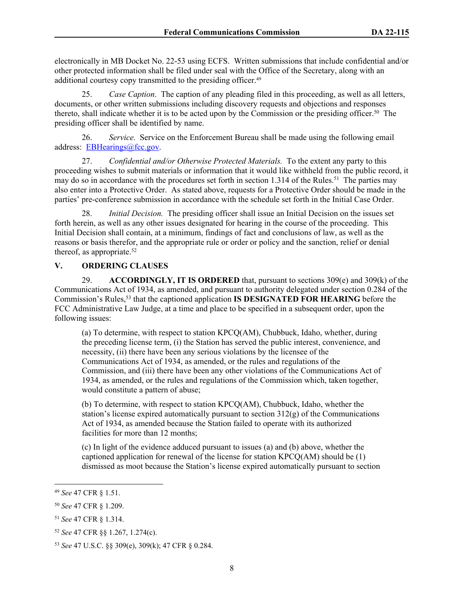electronically in MB Docket No. 22-53 using ECFS. Written submissions that include confidential and/or other protected information shall be filed under seal with the Office of the Secretary, along with an additional courtesy copy transmitted to the presiding officer.<sup>49</sup>

25. *Case Caption*. The caption of any pleading filed in this proceeding, as well as all letters, documents, or other written submissions including discovery requests and objections and responses thereto, shall indicate whether it is to be acted upon by the Commission or the presiding officer.<sup>50</sup> The presiding officer shall be identified by name.

26. *Service.* Service on the Enforcement Bureau shall be made using the following email address: [EBHearings@fcc.gov](mailto:EBHearings@fcc.gov).

27. *Confidential and/or Otherwise Protected Materials.* To the extent any party to this proceeding wishes to submit materials or information that it would like withheld from the public record, it may do so in accordance with the procedures set forth in section 1.314 of the Rules.<sup>51</sup> The parties may also enter into a Protective Order. As stated above, requests for a Protective Order should be made in the parties' pre-conference submission in accordance with the schedule set forth in the Initial Case Order.

28. *Initial Decision.* The presiding officer shall issue an Initial Decision on the issues set forth herein, as well as any other issues designated for hearing in the course of the proceeding. This Initial Decision shall contain, at a minimum, findings of fact and conclusions of law, as well as the reasons or basis therefor, and the appropriate rule or order or policy and the sanction, relief or denial thereof, as appropriate.<sup>52</sup>

## **V. ORDERING CLAUSES**

29. **ACCORDINGLY, IT IS ORDERED** that, pursuant to sections 309(e) and 309(k) of the Communications Act of 1934, as amended, and pursuant to authority delegated under section 0.284 of the Commission's Rules,<sup>53</sup> that the captioned application **IS DESIGNATED FOR HEARING** before the FCC Administrative Law Judge, at a time and place to be specified in a subsequent order, upon the following issues:

(a) To determine, with respect to station KPCQ(AM), Chubbuck, Idaho, whether, during the preceding license term, (i) the Station has served the public interest, convenience, and necessity, (ii) there have been any serious violations by the licensee of the Communications Act of 1934, as amended, or the rules and regulations of the Commission, and (iii) there have been any other violations of the Communications Act of 1934, as amended, or the rules and regulations of the Commission which, taken together, would constitute a pattern of abuse;

(b) To determine, with respect to station KPCQ(AM), Chubbuck, Idaho, whether the station's license expired automatically pursuant to section  $312(g)$  of the Communications Act of 1934, as amended because the Station failed to operate with its authorized facilities for more than 12 months;

(c) In light of the evidence adduced pursuant to issues (a) and (b) above, whether the captioned application for renewal of the license for station KPCQ(AM) should be (1) dismissed as moot because the Station's license expired automatically pursuant to section

<sup>49</sup> *See* 47 CFR § 1.51.

<sup>50</sup> *See* 47 CFR § 1.209.

<sup>51</sup> *See* 47 CFR § 1.314.

<sup>52</sup> *See* 47 CFR §§ 1.267, 1.274(c).

<sup>53</sup> *See* 47 U.S.C. §§ 309(e), 309(k); 47 CFR § 0.284.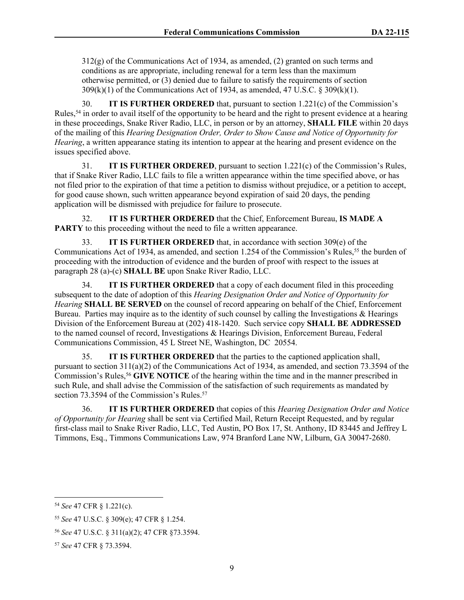312(g) of the Communications Act of 1934, as amended, (2) granted on such terms and conditions as are appropriate, including renewal for a term less than the maximum otherwise permitted, or (3) denied due to failure to satisfy the requirements of section 309(k)(1) of the Communications Act of 1934, as amended, 47 U.S.C. § 309(k)(1).

30. **IT IS FURTHER ORDERED** that, pursuant to section 1.221(c) of the Commission's Rules,<sup>54</sup> in order to avail itself of the opportunity to be heard and the right to present evidence at a hearing in these proceedings, Snake River Radio, LLC, in person or by an attorney, **SHALL FILE** within 20 days of the mailing of this *Hearing Designation Order, Order to Show Cause and Notice of Opportunity for Hearing*, a written appearance stating its intention to appear at the hearing and present evidence on the issues specified above.

31. **IT IS FURTHER ORDERED**, pursuant to section 1.221(c) of the Commission's Rules, that if Snake River Radio, LLC fails to file a written appearance within the time specified above, or has not filed prior to the expiration of that time a petition to dismiss without prejudice, or a petition to accept, for good cause shown, such written appearance beyond expiration of said 20 days, the pending application will be dismissed with prejudice for failure to prosecute.

32. **IT IS FURTHER ORDERED** that the Chief, Enforcement Bureau, **IS MADE A PARTY** to this proceeding without the need to file a written appearance.

33. **IT IS FURTHER ORDERED** that, in accordance with section 309(e) of the Communications Act of 1934, as amended, and section 1.254 of the Commission's Rules,<sup>55</sup> the burden of proceeding with the introduction of evidence and the burden of proof with respect to the issues at paragraph 28 (a)-(c) **SHALL BE** upon Snake River Radio, LLC.

34. **IT IS FURTHER ORDERED** that a copy of each document filed in this proceeding subsequent to the date of adoption of this *Hearing Designation Order and Notice of Opportunity for Hearing* **SHALL BE SERVED** on the counsel of record appearing on behalf of the Chief, Enforcement Bureau. Parties may inquire as to the identity of such counsel by calling the Investigations & Hearings Division of the Enforcement Bureau at (202) 418-1420. Such service copy **SHALL BE ADDRESSED** to the named counsel of record, Investigations & Hearings Division, Enforcement Bureau, Federal Communications Commission, 45 L Street NE, Washington, DC 20554.

35. **IT IS FURTHER ORDERED** that the parties to the captioned application shall, pursuant to section  $311(a)(2)$  of the Communications Act of 1934, as amended, and section 73.3594 of the Commission's Rules,<sup>56</sup> GIVE NOTICE of the hearing within the time and in the manner prescribed in such Rule, and shall advise the Commission of the satisfaction of such requirements as mandated by section 73.3594 of the Commission's Rules.<sup>57</sup>

36. **IT IS FURTHER ORDERED** that copies of this *Hearing Designation Order and Notice of Opportunity for Hearing* shall be sent via Certified Mail, Return Receipt Requested, and by regular first-class mail to Snake River Radio, LLC, Ted Austin, PO Box 17, St. Anthony, ID 83445 and Jeffrey L Timmons, Esq., Timmons Communications Law, 974 Branford Lane NW, Lilburn, GA 30047-2680.

<sup>54</sup> *See* 47 CFR § 1.221(c).

<sup>55</sup> *See* 47 U.S.C. § 309(e); 47 CFR § 1.254.

<sup>56</sup> *See* 47 U.S.C. § 311(a)(2); 47 CFR §73.3594.

<sup>57</sup> *See* 47 CFR § 73.3594.